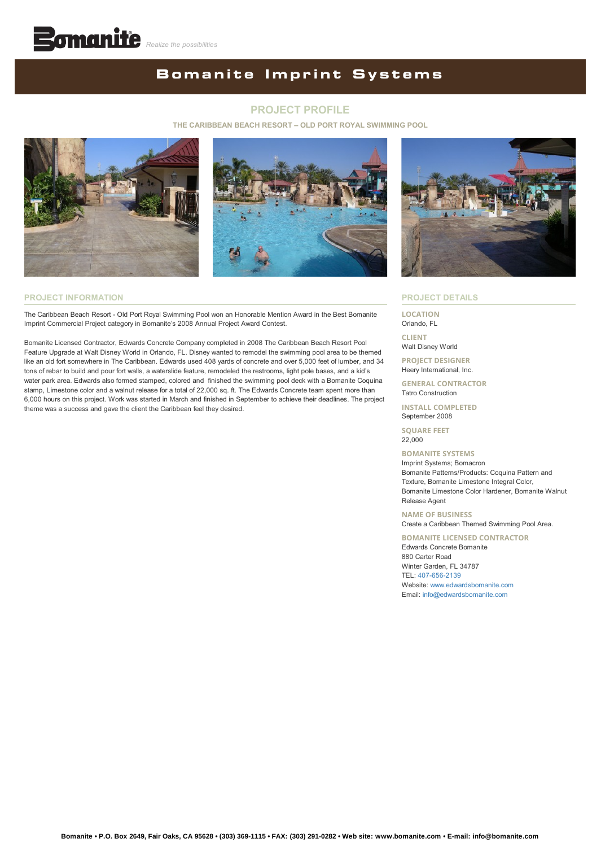## **Bomanite Imprint Systems**

#### **PROJECT PROFILE**

#### **THE CARIBBEAN BEACH RESORT – OLD PORT ROYAL SWIMMING POOL**





#### **PROJECT INFORMATION**

The Caribbean Beach Resort - Old Port Royal Swimming Pool won an Honorable Mention Award in the Best Bomanite Imprint Commercial Project category in Bomanite's 2008 Annual Project Award Contest.

Bomanite Licensed Contractor, Edwards Concrete Company completed in 2008 The Caribbean Beach Resort Pool Feature Upgrade at Walt Disney World in Orlando, FL. Disney wanted to remodel the swimming pool area to be themed like an old fort somewhere in The Caribbean. Edwards used 408 yards of concrete and over 5,000 feet of lumber, and 34 tons of rebar to build and pour fort walls, a waterslide feature, remodeled the restrooms, light pole bases, and a kid's water park area. Edwards also formed stamped, colored and finished the swimming pool deck with a Bomanite Coquina stamp, Limestone color and a walnut release for a total of 22,000 sq. ft. The Edwards Concrete team spent more than 6,000 hours on this project. Work was started in March and finished in September to achieve their deadlines. The project theme was a success and gave the client the Caribbean feel they desired.



#### **PROJECT DETAILS**

**LOCATION** Orlando, FL

**CLIENT** Walt Disney World

**PROJECT DESIGNER** Heery International, Inc.

**GENERAL CONTRACTOR** Tatro Construction

**INSTALL COMPLETED** September 2008

**SQUARE FEET** 22,000

**BOMANITE SYSTEMS** Imprint Systems; Bomacron Bomanite Patterns/Products: Coquina Pattern and Texture, Bomanite Limestone Integral Color, Bomanite Limestone Color Hardener, Bomanite Walnut Release Agent

**NAME OF BUSINESS**

## Create a Caribbean Themed Swimming Pool Area.

**BOMANITE LICENSED CONTRACTOR** Edwards Concrete Bomanite 880 Carter Road Winter Garden, FL 34787 TEL: [407-656-2139](tel:1-407-656-2139) Website: [www.edwardsbomanite.com](http://www.edwardsbomanite.com/) Email: [info@edwardsbomanite.com](mailto:info@edwardsbomanite.com?cc=info@bomanite.com&subject=I%20Need%20More%20Info%20About%20Project%20Profile:%20The%20Caribbean%20Beach%20Resort%20-%20Old%20Port%20Royal%20Swimming%20Pool)